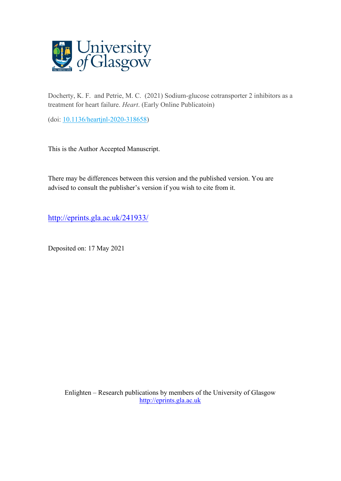

Docherty, K. F. and Petrie, M. C. (2021) Sodium-glucose cotransporter 2 inhibitors as a treatment for heart failure. *Heart*. (Early Online Publicatoin)

(doi: [10.1136/heartjnl-2020-318658\)](http://dx.doi.org/10.1136/heartjnl-2020-318658)

This is the Author Accepted Manuscript.

There may be differences between this version and the published version. You are advised to consult the publisher's version if you wish to cite from it.

<http://eprints.gla.ac.uk/241933/>

Deposited on: 17 May 2021

Enlighten – Research publications by members of the University of Glasgow [http://eprints.gla.ac.uk](http://eprints.gla.ac.uk/)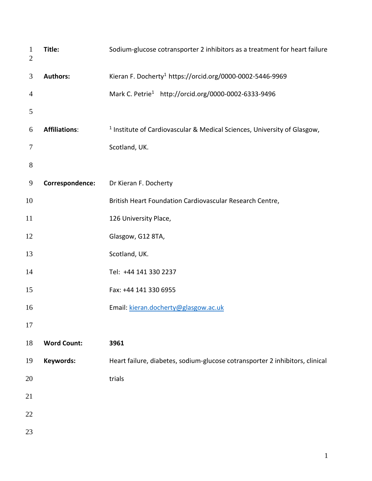| $\mathbf{1}$<br>$\mathbf{2}$ | Title:               | Sodium-glucose cotransporter 2 inhibitors as a treatment for heart failure          |  |  |
|------------------------------|----------------------|-------------------------------------------------------------------------------------|--|--|
| 3                            | <b>Authors:</b>      | Kieran F. Docherty <sup>1</sup> https://orcid.org/0000-0002-5446-9969               |  |  |
| $\overline{4}$               |                      | Mark C. Petrie <sup>1</sup> http://orcid.org/0000-0002-6333-9496                    |  |  |
| 5                            |                      |                                                                                     |  |  |
| 6                            | <b>Affiliations:</b> | <sup>1</sup> Institute of Cardiovascular & Medical Sciences, University of Glasgow, |  |  |
| 7                            |                      | Scotland, UK.                                                                       |  |  |
| $8\,$                        |                      |                                                                                     |  |  |
| 9                            | Correspondence:      | Dr Kieran F. Docherty                                                               |  |  |
| 10                           |                      | British Heart Foundation Cardiovascular Research Centre,                            |  |  |
| 11                           |                      | 126 University Place,                                                               |  |  |
| 12                           |                      | Glasgow, G12 8TA,                                                                   |  |  |
| 13                           |                      | Scotland, UK.                                                                       |  |  |
| 14                           |                      | Tel: +44 141 330 2237                                                               |  |  |
| 15                           |                      | Fax: +44 141 330 6955                                                               |  |  |
| 16                           |                      | Email: kieran.docherty@glasgow.ac.uk                                                |  |  |
| 17                           |                      |                                                                                     |  |  |
| 18                           | <b>Word Count:</b>   | 3961                                                                                |  |  |
| 19                           | Keywords:            | Heart failure, diabetes, sodium-glucose cotransporter 2 inhibitors, clinical        |  |  |
| 20                           |                      | trials                                                                              |  |  |
| 21                           |                      |                                                                                     |  |  |
| 22                           |                      |                                                                                     |  |  |
| 23                           |                      |                                                                                     |  |  |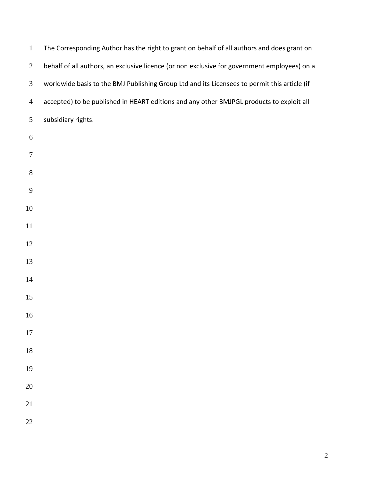| $\mathbf{1}$     | The Corresponding Author has the right to grant on behalf of all authors and does grant on   |
|------------------|----------------------------------------------------------------------------------------------|
| $\overline{2}$   | behalf of all authors, an exclusive licence (or non exclusive for government employees) on a |
| $\mathfrak{Z}$   | worldwide basis to the BMJ Publishing Group Ltd and its Licensees to permit this article (if |
| $\overline{4}$   | accepted) to be published in HEART editions and any other BMJPGL products to exploit all     |
| 5                | subsidiary rights.                                                                           |
| $\boldsymbol{6}$ |                                                                                              |
| $\tau$           |                                                                                              |
| $8\,$            |                                                                                              |
| $\boldsymbol{9}$ |                                                                                              |
| 10               |                                                                                              |
| 11               |                                                                                              |
| 12               |                                                                                              |
| 13               |                                                                                              |
| 14               |                                                                                              |
| 15               |                                                                                              |
| 16               |                                                                                              |
| 17               |                                                                                              |
| 18               |                                                                                              |
| 19               |                                                                                              |
| $20\,$           |                                                                                              |
| 21               |                                                                                              |
| 22               |                                                                                              |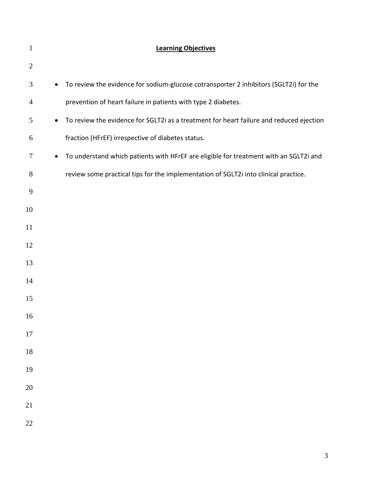| $\mathbf{1}$ |           | <b>Learning Objectives</b>                                                              |
|--------------|-----------|-----------------------------------------------------------------------------------------|
| $\mathbf{2}$ |           |                                                                                         |
| 3            | $\bullet$ | To review the evidence for sodium-glucose cotransporter 2 inhibitors (SGLT2i) for the   |
| 4            |           | prevention of heart failure in patients with type 2 diabetes.                           |
| 5            | $\bullet$ | To review the evidence for SGLT2i as a treatment for heart failure and reduced ejection |
| 6            |           | fraction (HFrEF) irrespective of diabetes status.                                       |
| 7            | $\bullet$ | To understand which patients with HFrEF are eligible for treatment with an SGLT2i and   |
| 8            |           | review some practical tips for the implementation of SGLT2i into clinical practice.     |
| 9            |           |                                                                                         |
| 10           |           |                                                                                         |
| 11           |           |                                                                                         |
| 12           |           |                                                                                         |
| 13           |           |                                                                                         |
| 14           |           |                                                                                         |
| 15           |           |                                                                                         |
| 16           |           |                                                                                         |
| 17           |           |                                                                                         |
| 18           |           |                                                                                         |
| 19           |           |                                                                                         |
| 20           |           |                                                                                         |
| 21           |           |                                                                                         |
| 22           |           |                                                                                         |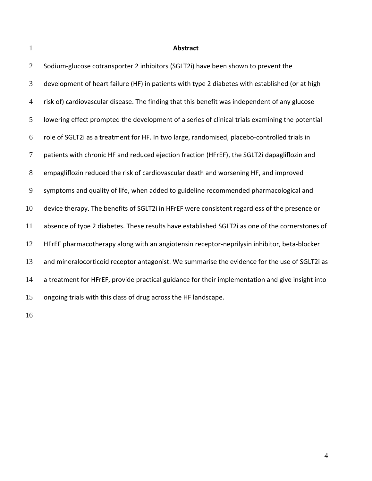# **Abstract**

| $\overline{2}$ | Sodium-glucose cotransporter 2 inhibitors (SGLT2i) have been shown to prevent the                |
|----------------|--------------------------------------------------------------------------------------------------|
| 3              | development of heart failure (HF) in patients with type 2 diabetes with established (or at high  |
| 4              | risk of) cardiovascular disease. The finding that this benefit was independent of any glucose    |
| 5              | lowering effect prompted the development of a series of clinical trials examining the potential  |
| 6              | role of SGLT2i as a treatment for HF. In two large, randomised, placebo-controlled trials in     |
| 7              | patients with chronic HF and reduced ejection fraction (HFrEF), the SGLT2i dapagliflozin and     |
| $8\phantom{1}$ | empagliflozin reduced the risk of cardiovascular death and worsening HF, and improved            |
| 9              | symptoms and quality of life, when added to guideline recommended pharmacological and            |
| 10             | device therapy. The benefits of SGLT2i in HFrEF were consistent regardless of the presence or    |
| 11             | absence of type 2 diabetes. These results have established SGLT2i as one of the cornerstones of  |
| 12             | HFrEF pharmacotherapy along with an angiotensin receptor-neprilysin inhibitor, beta-blocker      |
| 13             | and mineralocorticoid receptor antagonist. We summarise the evidence for the use of SGLT2i as    |
| 14             | a treatment for HFrEF, provide practical guidance for their implementation and give insight into |
| 15             | ongoing trials with this class of drug across the HF landscape.                                  |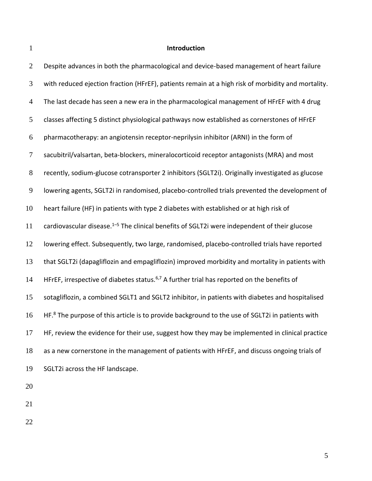# **Introduction**

| $\overline{2}$ | Despite advances in both the pharmacological and device-based management of heart failure                   |
|----------------|-------------------------------------------------------------------------------------------------------------|
| 3              | with reduced ejection fraction (HFrEF), patients remain at a high risk of morbidity and mortality.          |
| $\overline{4}$ | The last decade has seen a new era in the pharmacological management of HFrEF with 4 drug                   |
| 5              | classes affecting 5 distinct physiological pathways now established as cornerstones of HFrEF                |
| 6              | pharmacotherapy: an angiotensin receptor-neprilysin inhibitor (ARNI) in the form of                         |
| $\tau$         | sacubitril/valsartan, beta-blockers, mineralocorticoid receptor antagonists (MRA) and most                  |
| $8\phantom{1}$ | recently, sodium-glucose cotransporter 2 inhibitors (SGLT2i). Originally investigated as glucose            |
| 9              | lowering agents, SGLT2i in randomised, placebo-controlled trials prevented the development of               |
| 10             | heart failure (HF) in patients with type 2 diabetes with established or at high risk of                     |
| 11             | cardiovascular disease. $1-5$ The clinical benefits of SGLT2i were independent of their glucose             |
| 12             | lowering effect. Subsequently, two large, randomised, placebo-controlled trials have reported               |
| 13             | that SGLT2i (dapagliflozin and empagliflozin) improved morbidity and mortality in patients with             |
| 14             | HFrEF, irrespective of diabetes status. <sup>6,7</sup> A further trial has reported on the benefits of      |
| 15             | sotagliflozin, a combined SGLT1 and SGLT2 inhibitor, in patients with diabetes and hospitalised             |
| 16             | HF. <sup>8</sup> The purpose of this article is to provide background to the use of SGLT2i in patients with |
| 17             | HF, review the evidence for their use, suggest how they may be implemented in clinical practice             |
| 18             | as a new cornerstone in the management of patients with HFrEF, and discuss ongoing trials of                |
| 19             | SGLT2i across the HF landscape.                                                                             |
|                |                                                                                                             |

- 
- 
-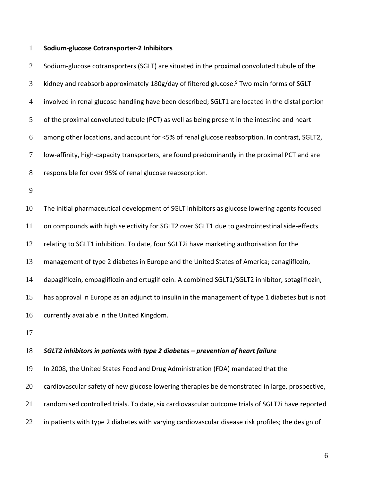#### **Sodium-glucose Cotransporter-2 Inhibitors**

2 Sodium-glucose cotransporters (SGLT) are situated in the proximal convoluted tubule of the 3 kidney and reabsorb approximately 180g/day of filtered glucose.<sup>9</sup> Two main forms of SGLT involved in renal glucose handling have been described; SGLT1 are located in the distal portion of the proximal convoluted tubule (PCT) as well as being present in the intestine and heart among other locations, and account for <5% of renal glucose reabsorption. In contrast, SGLT2, low-affinity, high-capacity transporters, are found predominantly in the proximal PCT and are responsible for over 95% of renal glucose reabsorption. 

 The initial pharmaceutical development of SGLT inhibitors as glucose lowering agents focused on compounds with high selectivity for SGLT2 over SGLT1 due to gastrointestinal side-effects relating to SGLT1 inhibition. To date, four SGLT2i have marketing authorisation for the management of type 2 diabetes in Europe and the United States of America; canagliflozin, dapagliflozin, empagliflozin and ertugliflozin. A combined SGLT1/SGLT2 inhibitor, sotagliflozin, has approval in Europe as an adjunct to insulin in the management of type 1 diabetes but is not 16 currently available in the United Kingdom.

#### *SGLT2 inhibitors in patients with type 2 diabetes – prevention of heart failure*

 In 2008, the United States Food and Drug Administration (FDA) mandated that the cardiovascular safety of new glucose lowering therapies be demonstrated in large, prospective, randomised controlled trials. To date, six cardiovascular outcome trials of SGLT2i have reported 22 in patients with type 2 diabetes with varying cardiovascular disease risk profiles; the design of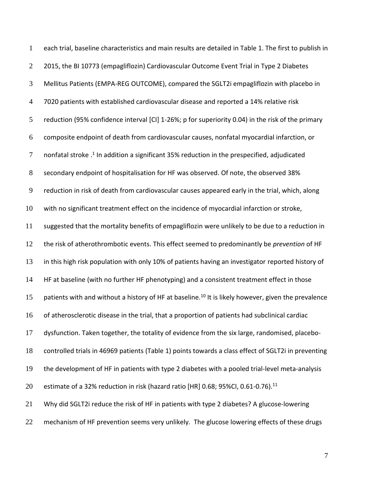each trial, baseline characteristics and main results are detailed in Table 1. The first to publish in 2015, the BI 10773 (empagliflozin) Cardiovascular Outcome Event Trial in Type 2 Diabetes Mellitus Patients (EMPA-REG OUTCOME), compared the SGLT2i empagliflozin with placebo in 7020 patients with established cardiovascular disease and reported a 14% relative risk reduction (95% confidence interval [CI] 1-26%; p for superiority 0.04) in the risk of the primary composite endpoint of death from cardiovascular causes, nonfatal myocardial infarction, or 7 anonfatal stroke  $.1$  In addition a significant 35% reduction in the prespecified, adjudicated secondary endpoint of hospitalisation for HF was observed. Of note, the observed 38% reduction in risk of death from cardiovascular causes appeared early in the trial, which, along with no significant treatment effect on the incidence of myocardial infarction or stroke, suggested that the mortality benefits of empagliflozin were unlikely to be due to a reduction in the risk of atherothrombotic events. This effect seemed to predominantly be *prevention* of HF 13 in this high risk population with only 10% of patients having an investigator reported history of 14 HF at baseline (with no further HF phenotyping) and a consistent treatment effect in those 15 patients with and without a history of HF at baseline.<sup>10</sup> It is likely however, given the prevalence of atherosclerotic disease in the trial, that a proportion of patients had subclinical cardiac dysfunction. Taken together, the totality of evidence from the six large, randomised, placebo- controlled trials in 46969 patients (Table 1) points towards a class effect of SGLT2i in preventing the development of HF in patients with type 2 diabetes with a pooled trial-level meta-analysis 20 estimate of a 32% reduction in risk (hazard ratio [HR] 0.68; 95%CI, 0.61-0.76).<sup>11</sup> Why did SGLT2i reduce the risk of HF in patients with type 2 diabetes? A glucose-lowering 22 mechanism of HF prevention seems very unlikely. The glucose lowering effects of these drugs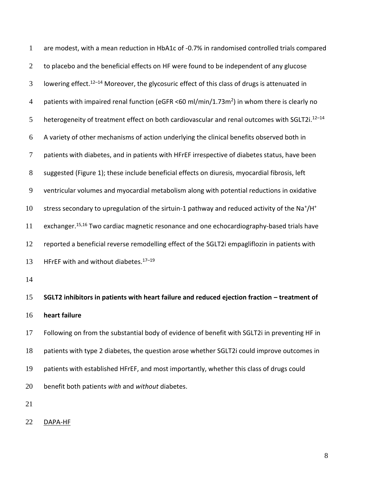are modest, with a mean reduction in HbA1c of -0.7% in randomised controlled trials compared 2 to placebo and the beneficial effects on HF were found to be independent of any glucose 3 Iowering effect.<sup>12-14</sup> Moreover, the glycosuric effect of this class of drugs is attenuated in 4 patients with impaired renal function (eGFR <60 ml/min/1.73m<sup>2</sup>) in whom there is clearly no 5 heterogeneity of treatment effect on both cardiovascular and renal outcomes with SGLT2i.<sup>12-14</sup> A variety of other mechanisms of action underlying the clinical benefits observed both in patients with diabetes, and in patients with HFrEF irrespective of diabetes status, have been suggested (Figure 1); these include beneficial effects on diuresis, myocardial fibrosis, left ventricular volumes and myocardial metabolism along with potential reductions in oxidative 10 stress secondary to upregulation of the sirtuin-1 pathway and reduced activity of the Na<sup>+</sup>/H<sup>+</sup> 11 exchanger.<sup>15,16</sup> Two cardiac magnetic resonance and one echocardiography-based trials have reported a beneficial reverse remodelling effect of the SGLT2i empagliflozin in patients with 13 HFrEF with and without diabetes. $17-19$  **SGLT2 inhibitors in patients with heart failure and reduced ejection fraction – treatment of heart failure**  Following on from the substantial body of evidence of benefit with SGLT2i in preventing HF in patients with type 2 diabetes, the question arose whether SGLT2i could improve outcomes in patients with established HFrEF, and most importantly, whether this class of drugs could

- 
- DAPA-HF

benefit both patients *with* and *without* diabetes.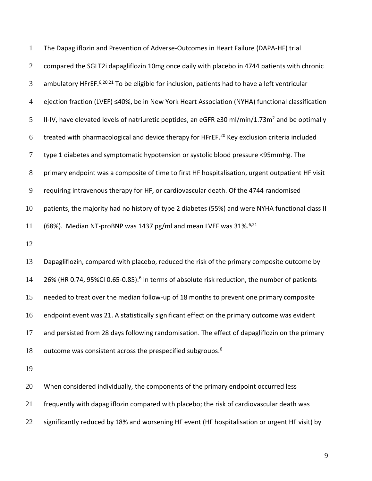The Dapagliflozin and Prevention of Adverse-Outcomes in Heart Failure (DAPA-HF) trial compared the SGLT2i dapagliflozin 10mg once daily with placebo in 4744 patients with chronic 3 ambulatory HFrEF. 6,20,21 To be eligible for inclusion, patients had to have a left ventricular ejection fraction (LVEF) ≤40%, be in New York Heart Association (NYHA) functional classification II-IV, have elevated levels of natriuretic peptides, an eGFR ≥30 ml/min/1.73m<sup>2</sup> and be optimally treated with pharmacological and device therapy for HFrEF.<sup>20</sup> Key exclusion criteria included type 1 diabetes and symptomatic hypotension or systolic blood pressure <95mmHg. The primary endpoint was a composite of time to first HF hospitalisation, urgent outpatient HF visit requiring intravenous therapy for HF, or cardiovascular death. Of the 4744 randomised patients, the majority had no history of type 2 diabetes (55%) and were NYHA functional class II 11 (68%). Median NT-proBNP was 1437 pg/ml and mean LVEF was  $31\%$ .<sup>6,21</sup> 

 Dapagliflozin, compared with placebo, reduced the risk of the primary composite outcome by 14 26% (HR 0.74, 95%CI 0.65-0.85).<sup>6</sup> In terms of absolute risk reduction, the number of patients needed to treat over the median follow-up of 18 months to prevent one primary composite endpoint event was 21. A statistically significant effect on the primary outcome was evident and persisted from 28 days following randomisation. The effect of dapagliflozin on the primary 18 outcome was consistent across the prespecified subgroups.

20 When considered individually, the components of the primary endpoint occurred less frequently with dapagliflozin compared with placebo; the risk of cardiovascular death was 22 significantly reduced by 18% and worsening HF event (HF hospitalisation or urgent HF visit) by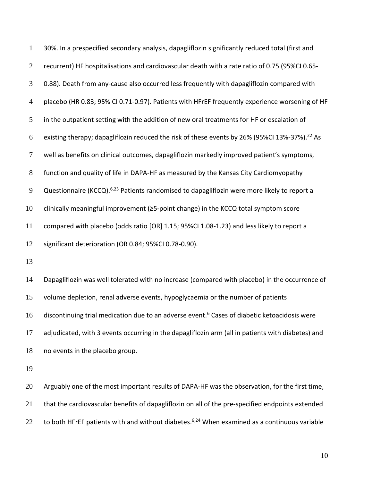| $\mathbf{1}$   | 30%. In a prespecified secondary analysis, dapagliflozin significantly reduced total (first and           |
|----------------|-----------------------------------------------------------------------------------------------------------|
| $\overline{2}$ | recurrent) HF hospitalisations and cardiovascular death with a rate ratio of 0.75 (95%CI 0.65-            |
| 3              | 0.88). Death from any-cause also occurred less frequently with dapagliflozin compared with                |
| $\overline{4}$ | placebo (HR 0.83; 95% CI 0.71-0.97). Patients with HFrEF frequently experience worsening of HF            |
| 5              | in the outpatient setting with the addition of new oral treatments for HF or escalation of                |
| 6              | existing therapy; dapagliflozin reduced the risk of these events by 26% (95%CI 13%-37%). <sup>22</sup> As |
| $\tau$         | well as benefits on clinical outcomes, dapagliflozin markedly improved patient's symptoms,                |
| $8\,$          | function and quality of life in DAPA-HF as measured by the Kansas City Cardiomyopathy                     |
| 9              | Questionnaire (KCCQ). <sup>6,23</sup> Patients randomised to dapagliflozin were more likely to report a   |
| 10             | clinically meaningful improvement (≥5-point change) in the KCCQ total symptom score                       |
| 11             | compared with placebo (odds ratio [OR] 1.15; 95%CI 1.08-1.23) and less likely to report a                 |
| 12             | significant deterioration (OR 0.84; 95%CI 0.78-0.90).                                                     |
| 13             |                                                                                                           |
| 14             | Dapagliflozin was well tolerated with no increase (compared with placebo) in the occurrence of            |
| 15             | volume depletion, renal adverse events, hypoglycaemia or the number of patients                           |
| 16             | discontinuing trial medication due to an adverse event. <sup>6</sup> Cases of diabetic ketoacidosis were  |
| 17             | adjudicated, with 3 events occurring in the dapagliflozin arm (all in patients with diabetes) and         |
| 18             | no events in the placebo group.                                                                           |
| 19             |                                                                                                           |
|                |                                                                                                           |

 Arguably one of the most important results of DAPA-HF was the observation, for the first time, that the cardiovascular benefits of dapagliflozin on all of the pre-specified endpoints extended 22 to both HFrEF patients with and without diabetes.<sup>6,24</sup> When examined as a continuous variable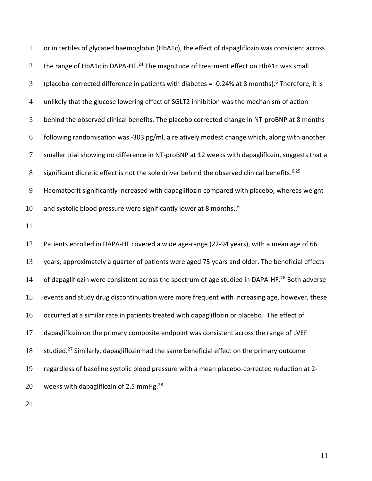| $\mathbf{1}$   | or in tertiles of glycated haemoglobin (HbA1c), the effect of dapagliflozin was consistent across            |
|----------------|--------------------------------------------------------------------------------------------------------------|
| $\overline{2}$ | the range of HbA1c in DAPA-HF. <sup>24</sup> The magnitude of treatment effect on HbA1c was small            |
| 3              | (placebo-corrected difference in patients with diabetes = -0.24% at 8 months). <sup>6</sup> Therefore, it is |
| $\overline{4}$ | unlikely that the glucose lowering effect of SGLT2 inhibition was the mechanism of action                    |
| 5              | behind the observed clinical benefits. The placebo corrected change in NT-proBNP at 8 months                 |
| 6              | following randomisation was -303 pg/ml, a relatively modest change which, along with another                 |
| 7              | smaller trial showing no difference in NT-proBNP at 12 weeks with dapagliflozin, suggests that a             |
| 8              | significant diuretic effect is not the sole driver behind the observed clinical benefits. <sup>6,25</sup>    |
| 9              | Haematocrit significantly increased with dapagliflozin compared with placebo, whereas weight                 |
| 10             | and systolic blood pressure were significantly lower at 8 months,. <sup>6</sup>                              |
| 11             |                                                                                                              |
|                |                                                                                                              |
| 12             | Patients enrolled in DAPA-HF covered a wide age-range (22-94 years), with a mean age of 66                   |
| 13             | years; approximately a quarter of patients were aged 75 years and older. The beneficial effects              |
| 14             | of dapagliflozin were consistent across the spectrum of age studied in DAPA-HF. <sup>26</sup> Both adverse   |
| 15             | events and study drug discontinuation were more frequent with increasing age, however, these                 |
| 16             | occurred at a similar rate in patients treated with dapagliflozin or placebo. The effect of                  |
| 17             | dapagliflozin on the primary composite endpoint was consistent across the range of LVEF                      |
| 18             | studied. <sup>27</sup> Similarly, dapagliflozin had the same beneficial effect on the primary outcome        |
| 19             | regardless of baseline systolic blood pressure with a mean placebo-corrected reduction at 2-                 |
| 20             | weeks with dapagliflozin of 2.5 mmHg. <sup>28</sup>                                                          |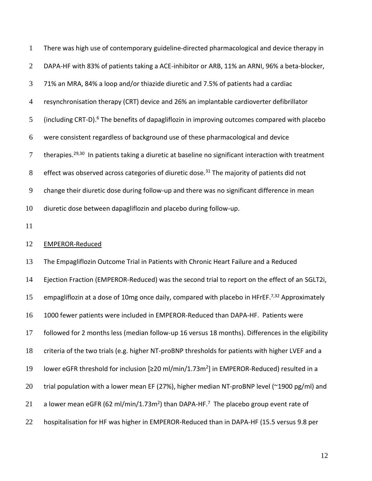| $\mathbf{1}$   | There was high use of contemporary guideline-directed pharmacological and device therapy in                     |
|----------------|-----------------------------------------------------------------------------------------------------------------|
| $\overline{2}$ | DAPA-HF with 83% of patients taking a ACE-inhibitor or ARB, 11% an ARNI, 96% a beta-blocker,                    |
| 3              | 71% an MRA, 84% a loop and/or thiazide diuretic and 7.5% of patients had a cardiac                              |
| $\overline{4}$ | resynchronisation therapy (CRT) device and 26% an implantable cardioverter defibrillator                        |
| 5              | (including CRT-D). <sup>6</sup> The benefits of dapagliflozin in improving outcomes compared with placebo       |
| 6              | were consistent regardless of background use of these pharmacological and device                                |
| $\tau$         | therapies. <sup>29,30</sup> In patients taking a diuretic at baseline no significant interaction with treatment |
| $8\phantom{.}$ | effect was observed across categories of diuretic dose. <sup>31</sup> The majority of patients did not          |
| 9              | change their diuretic dose during follow-up and there was no significant difference in mean                     |
| 10             | diuretic dose between dapagliflozin and placebo during follow-up.                                               |
| 11             |                                                                                                                 |
|                |                                                                                                                 |
| 12             | <b>EMPEROR-Reduced</b>                                                                                          |
| 13             | The Empagliflozin Outcome Trial in Patients with Chronic Heart Failure and a Reduced                            |
| 14             | Ejection Fraction (EMPEROR-Reduced) was the second trial to report on the effect of an SGLT2i,                  |
| 15             | empagliflozin at a dose of 10mg once daily, compared with placebo in HFrEF. <sup>7,32</sup> Approximately       |
| 16             | 1000 fewer patients were included in EMPEROR-Reduced than DAPA-HF. Patients were                                |
| 17             | followed for 2 months less (median follow-up 16 versus 18 months). Differences in the eligibility               |
| 18             | criteria of the two trials (e.g. higher NT-proBNP thresholds for patients with higher LVEF and a                |
| 19             | lower eGFR threshold for inclusion [≥20 ml/min/1.73m <sup>2</sup> ] in EMPEROR-Reduced) resulted in a           |
| 20             | trial population with a lower mean EF (27%), higher median NT-proBNP level (~1900 pg/ml) and                    |
| 21             | a lower mean eGFR (62 ml/min/1.73m <sup>2</sup> ) than DAPA-HF. <sup>7</sup> The placebo group event rate of    |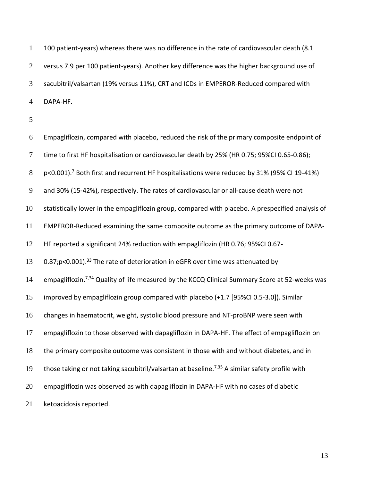100 patient-years) whereas there was no difference in the rate of cardiovascular death (8.1 versus 7.9 per 100 patient-years). Another key difference was the higher background use of sacubitril/valsartan (19% versus 11%), CRT and ICDs in EMPEROR-Reduced compared with DAPA-HF.

 Empagliflozin, compared with placebo, reduced the risk of the primary composite endpoint of time to first HF hospitalisation or cardiovascular death by 25% (HR 0.75; 95%CI 0.65-0.86); 8 p<0.001).<sup>7</sup> Both first and recurrent HF hospitalisations were reduced by 31% (95% CI 19-41%) and 30% (15-42%), respectively. The rates of cardiovascular or all-cause death were not statistically lower in the empagliflozin group, compared with placebo. A prespecified analysis of EMPEROR-Reduced examining the same composite outcome as the primary outcome of DAPA- HF reported a significant 24% reduction with empagliflozin (HR 0.76; 95%CI 0.67- 13 0.87;p<0.001).<sup>33</sup> The rate of deterioration in eGFR over time was attenuated by 14 empagliflozin.<sup>7,34</sup> Quality of life measured by the KCCQ Clinical Summary Score at 52-weeks was improved by empagliflozin group compared with placebo (+1.7 [95%CI 0.5-3.0]). Similar changes in haematocrit, weight, systolic blood pressure and NT-proBNP were seen with empagliflozin to those observed with dapagliflozin in DAPA-HF. The effect of empagliflozin on the primary composite outcome was consistent in those with and without diabetes, and in 19 those taking or not taking sacubitril/valsartan at baseline.<sup>7,35</sup> A similar safety profile with empagliflozin was observed as with dapagliflozin in DAPA-HF with no cases of diabetic ketoacidosis reported.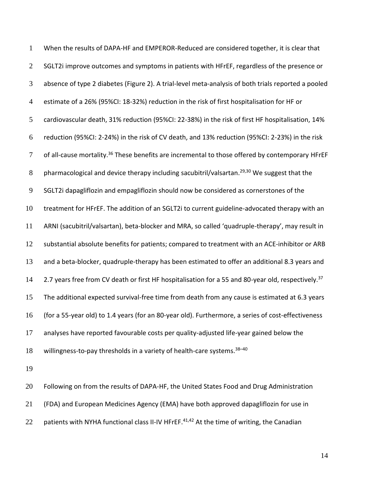When the results of DAPA-HF and EMPEROR-Reduced are considered together, it is clear that 2 SGLT2i improve outcomes and symptoms in patients with HFrEF, regardless of the presence or absence of type 2 diabetes (Figure 2). A trial-level meta-analysis of both trials reported a pooled estimate of a 26% (95%CI: 18-32%) reduction in the risk of first hospitalisation for HF or cardiovascular death, 31% reduction (95%CI: 22-38%) in the risk of first HF hospitalisation, 14% reduction (95%CI: 2-24%) in the risk of CV death, and 13% reduction (95%CI: 2-23%) in the risk 7 of all-cause mortality.<sup>36</sup> These benefits are incremental to those offered by contemporary HFrEF 8 pharmacological and device therapy including sacubitril/valsartan.<sup>29,30</sup> We suggest that the SGLT2i dapagliflozin and empagliflozin should now be considered as cornerstones of the treatment for HFrEF. The addition of an SGLT2i to current guideline-advocated therapy with an ARNI (sacubitril/valsartan), beta-blocker and MRA, so called 'quadruple-therapy', may result in substantial absolute benefits for patients; compared to treatment with an ACE-inhibitor or ARB and a beta-blocker, quadruple-therapy has been estimated to offer an additional 8.3 years and 2.7 years free from CV death or first HF hospitalisation for a 55 and 80-year old, respectively.<sup>37</sup> The additional expected survival-free time from death from any cause is estimated at 6.3 years (for a 55-year old) to 1.4 years (for an 80-year old). Furthermore, a series of cost-effectiveness analyses have reported favourable costs per quality-adjusted life-year gained below the 18 willingness-to-pay thresholds in a variety of health-care systems. $38-40$ 

 Following on from the results of DAPA-HF, the United States Food and Drug Administration (FDA) and European Medicines Agency (EMA) have both approved dapagliflozin for use in 22 patients with NYHA functional class II-IV HFrEF. $41,42$  At the time of writing, the Canadian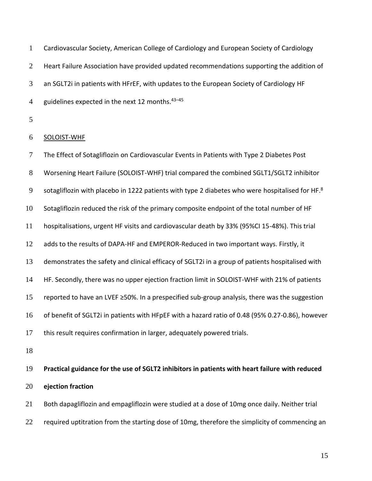Cardiovascular Society, American College of Cardiology and European Society of Cardiology 2 Heart Failure Association have provided updated recommendations supporting the addition of an SGLT2i in patients with HFrEF, with updates to the European Society of Cardiology HF 4 guidelines expected in the next 12 months. $43-45$ 

### SOLOIST-WHF

 The Effect of Sotagliflozin on Cardiovascular Events in Patients with Type 2 Diabetes Post Worsening Heart Failure (SOLOIST-WHF) trial compared the combined SGLT1/SGLT2 inhibitor 9 Sotagliflozin with placebo in 1222 patients with type 2 diabetes who were hospitalised for HF.<sup>8</sup> Sotagliflozin reduced the risk of the primary composite endpoint of the total number of HF hospitalisations, urgent HF visits and cardiovascular death by 33% (95%CI 15-48%). This trial adds to the results of DAPA-HF and EMPEROR-Reduced in two important ways. Firstly, it demonstrates the safety and clinical efficacy of SGLT2i in a group of patients hospitalised with HF. Secondly, there was no upper ejection fraction limit in SOLOIST-WHF with 21% of patients reported to have an LVEF ≥50%. In a prespecified sub-group analysis, there was the suggestion of benefit of SGLT2i in patients with HFpEF with a hazard ratio of 0.48 (95% 0.27-0.86), however this result requires confirmation in larger, adequately powered trials.

 **Practical guidance for the use of SGLT2 inhibitors in patients with heart failure with reduced ejection fraction**

 Both dapagliflozin and empagliflozin were studied at a dose of 10mg once daily. Neither trial 22 required uptitration from the starting dose of 10mg, therefore the simplicity of commencing an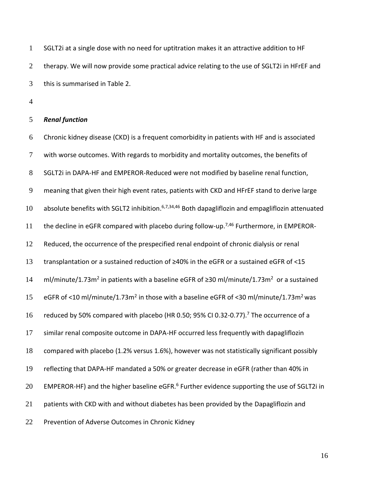SGLT2i at a single dose with no need for uptitration makes it an attractive addition to HF 2 therapy. We will now provide some practical advice relating to the use of SGLT2i in HFrEF and this is summarised in Table 2.

#### *Renal function*

 Chronic kidney disease (CKD) is a frequent comorbidity in patients with HF and is associated with worse outcomes. With regards to morbidity and mortality outcomes, the benefits of SGLT2i in DAPA-HF and EMPEROR-Reduced were not modified by baseline renal function, meaning that given their high event rates, patients with CKD and HFrEF stand to derive large 10 absolute benefits with SGLT2 inhibition.  $6,7,34,46$  Both dapagliflozin and empagliflozin attenuated 11 the decline in eGFR compared with placebo during follow-up.<sup>7,46</sup> Furthermore, in EMPEROR- Reduced, the occurrence of the prespecified renal endpoint of chronic dialysis or renal transplantation or a sustained reduction of ≥40% in the eGFR or a sustained eGFR of <15 14 ml/minute/1.73m<sup>2</sup> in patients with a baseline eGFR of ≥30 ml/minute/1.73m<sup>2</sup> or a sustained 15 eGFR of <10 ml/minute/1.73m<sup>2</sup> in those with a baseline eGFR of <30 ml/minute/1.73m<sup>2</sup> was 16 reduced by 50% compared with placebo (HR 0.50; 95% CI 0.32-0.77).<sup>7</sup> The occurrence of a similar renal composite outcome in DAPA-HF occurred less frequently with dapagliflozin compared with placebo (1.2% versus 1.6%), however was not statistically significant possibly reflecting that DAPA-HF mandated a 50% or greater decrease in eGFR (rather than 40% in 20 EMPEROR-HF) and the higher baseline eGFR.<sup>6</sup> Further evidence supporting the use of SGLT2i in patients with CKD with and without diabetes has been provided by the Dapagliflozin and Prevention of Adverse Outcomes in Chronic Kidney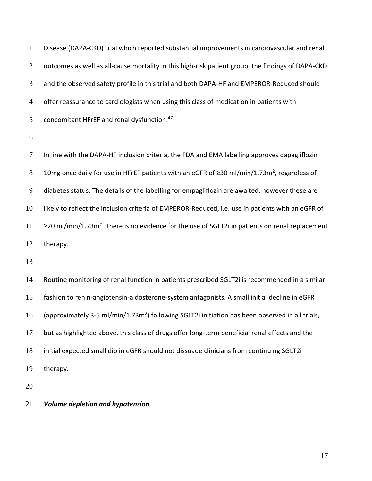Disease (DAPA-CKD) trial which reported substantial improvements in cardiovascular and renal 2 outcomes as well as all-cause mortality in this high-risk patient group; the findings of DAPA-CKD and the observed safety profile in this trial and both DAPA-HF and EMPEROR-Reduced should offer reassurance to cardiologists when using this class of medication in patients with 5 concomitant HFrEF and renal dysfunction.<sup>47</sup>

 In line with the DAPA-HF inclusion criteria, the FDA and EMA labelling approves dapagliflozin 8 10mg once daily for use in HFrEF patients with an eGFR of ≥30 ml/min/1.73m<sup>2</sup>, regardless of diabetes status. The details of the labelling for empagliflozin are awaited, however these are likely to reflect the inclusion criteria of EMPEROR-Reduced, i.e. use in patients with an eGFR of  $\geq$  20 ml/min/1.73m<sup>2</sup>. There is no evidence for the use of SGLT2i in patients on renal replacement therapy.

 Routine monitoring of renal function in patients prescribed SGLT2i is recommended in a similar fashion to renin-angiotensin-aldosterone-system antagonists. A small initial decline in eGFR 16 (approximately 3-5 ml/min/1.73m<sup>2</sup>) following SGLT2i initiation has been observed in all trials, but as highlighted above, this class of drugs offer long-term beneficial renal effects and the initial expected small dip in eGFR should not dissuade clinicians from continuing SGLT2i therapy.

*Volume depletion and hypotension*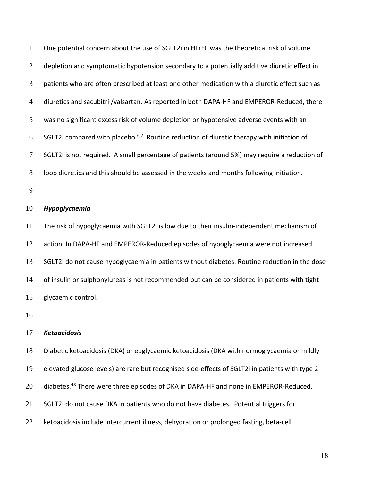| $\mathbf{1}$   | One potential concern about the use of SGLT2i in HFrEF was the theoretical risk of volume             |
|----------------|-------------------------------------------------------------------------------------------------------|
| $\overline{2}$ | depletion and symptomatic hypotension secondary to a potentially additive diuretic effect in          |
| 3              | patients who are often prescribed at least one other medication with a diuretic effect such as        |
| $\overline{4}$ | diuretics and sacubitril/valsartan. As reported in both DAPA-HF and EMPEROR-Reduced, there            |
| 5              | was no significant excess risk of volume depletion or hypotensive adverse events with an              |
| 6              | SGLT2i compared with placebo. <sup>6,7</sup> Routine reduction of diuretic therapy with initiation of |
| 7              | SGLT2i is not required. A small percentage of patients (around 5%) may require a reduction of         |
| 8              | loop diuretics and this should be assessed in the weeks and months following initiation.              |
| 9              |                                                                                                       |
| 10             | Hypoglycaemia                                                                                         |
| 11             | The risk of hypoglycaemia with SGLT2i is low due to their insulin-independent mechanism of            |
| 12             | action. In DAPA-HF and EMPEROR-Reduced episodes of hypoglycaemia were not increased.                  |
| 13             | SGLT2i do not cause hypoglycaemia in patients without diabetes. Routine reduction in the dose         |
| 14             | of insulin or sulphonylureas is not recommended but can be considered in patients with tight          |
| 15             | glycaemic control.                                                                                    |
| 16             |                                                                                                       |
| 17             | <b>Ketoacidosis</b>                                                                                   |
| 18             | Diabetic ketoacidosis (DKA) or euglycaemic ketoacidosis (DKA with normoglycaemia or mildly            |
| 19             | elevated glucose levels) are rare but recognised side-effects of SGLT2i in patients with type 2       |
| 20             | diabetes. <sup>48</sup> There were three episodes of DKA in DAPA-HF and none in EMPEROR-Reduced.      |
| 21             | SGLT2i do not cause DKA in patients who do not have diabetes. Potential triggers for                  |
| 22             | ketoacidosis include intercurrent illness, dehydration or prolonged fasting, beta-cell                |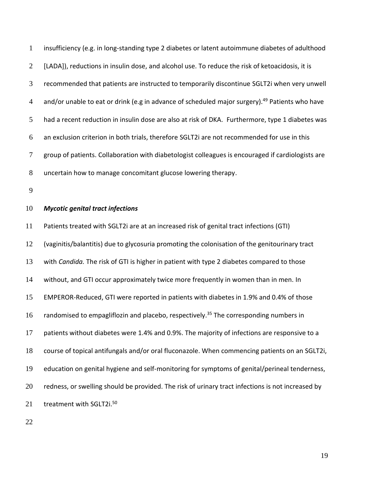insufficiency (e.g. in long-standing type 2 diabetes or latent autoimmune diabetes of adulthood 2 [LADA]), reductions in insulin dose, and alcohol use. To reduce the risk of ketoacidosis, it is recommended that patients are instructed to temporarily discontinue SGLT2i when very unwell 4 and/or unable to eat or drink (e.g in advance of scheduled major surgery).<sup>49</sup> Patients who have had a recent reduction in insulin dose are also at risk of DKA. Furthermore, type 1 diabetes was an exclusion criterion in both trials, therefore SGLT2i are not recommended for use in this group of patients. Collaboration with diabetologist colleagues is encouraged if cardiologists are uncertain how to manage concomitant glucose lowering therapy.

### *Mycotic genital tract infections*

 Patients treated with SGLT2i are at an increased risk of genital tract infections (GTI) (vaginitis/balantitis) due to glycosuria promoting the colonisation of the genitourinary tract with *Candida.* The risk of GTI is higher in patient with type 2 diabetes compared to those without, and GTI occur approximately twice more frequently in women than in men. In EMPEROR-Reduced, GTI were reported in patients with diabetes in 1.9% and 0.4% of those 16 randomised to empagliflozin and placebo, respectively.<sup>35</sup> The corresponding numbers in patients without diabetes were 1.4% and 0.9%. The majority of infections are responsive to a course of topical antifungals and/or oral fluconazole. When commencing patients on an SGLT2i, education on genital hygiene and self-monitoring for symptoms of genital/perineal tenderness, 20 redness, or swelling should be provided. The risk of urinary tract infections is not increased by 21 treatment with SGLT2i.<sup>50</sup>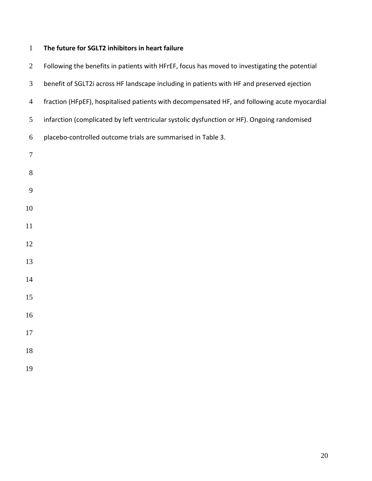# **The future for SGLT2 inhibitors in heart failure**

| $\overline{2}$ | Following the benefits in patients with HFrEF, focus has moved to investigating the potential |
|----------------|-----------------------------------------------------------------------------------------------|
| 3              | benefit of SGLT2i across HF landscape including in patients with HF and preserved ejection    |
| $\overline{4}$ | fraction (HFpEF), hospitalised patients with decompensated HF, and following acute myocardial |
| $\sqrt{5}$     | infarction (complicated by left ventricular systolic dysfunction or HF). Ongoing randomised   |
| 6              | placebo-controlled outcome trials are summarised in Table 3.                                  |
| $\tau$         |                                                                                               |
| $8\,$          |                                                                                               |
| 9              |                                                                                               |
| 10             |                                                                                               |
| 11             |                                                                                               |
| 12             |                                                                                               |
| 13             |                                                                                               |
| 14             |                                                                                               |
| 15             |                                                                                               |
| 16             |                                                                                               |
| 17             |                                                                                               |
| 18             |                                                                                               |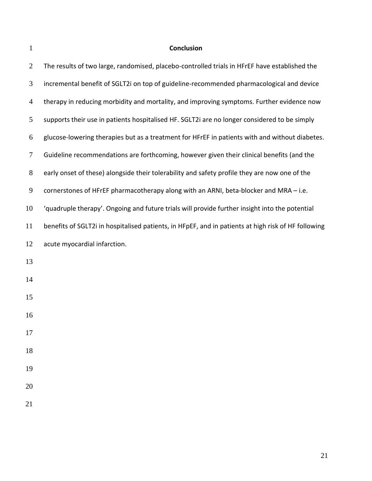# **Conclusion**

| $\overline{2}$ | The results of two large, randomised, placebo-controlled trials in HFrEF have established the       |
|----------------|-----------------------------------------------------------------------------------------------------|
| 3              | incremental benefit of SGLT2i on top of guideline-recommended pharmacological and device            |
| $\overline{4}$ | therapy in reducing morbidity and mortality, and improving symptoms. Further evidence now           |
| 5              | supports their use in patients hospitalised HF. SGLT2i are no longer considered to be simply        |
| 6              | glucose-lowering therapies but as a treatment for HFrEF in patients with and without diabetes.      |
| $\tau$         | Guideline recommendations are forthcoming, however given their clinical benefits (and the           |
| $8\,$          | early onset of these) alongside their tolerability and safety profile they are now one of the       |
| $\overline{9}$ | cornerstones of HFrEF pharmacotherapy along with an ARNI, beta-blocker and MRA - i.e.               |
| 10             | 'quadruple therapy'. Ongoing and future trials will provide further insight into the potential      |
| 11             | benefits of SGLT2i in hospitalised patients, in HFpEF, and in patients at high risk of HF following |
| 12             | acute myocardial infarction.                                                                        |
| 13             |                                                                                                     |
| 14             |                                                                                                     |
| 15             |                                                                                                     |
| 16             |                                                                                                     |
| 17             |                                                                                                     |
| 18             |                                                                                                     |
| 19             |                                                                                                     |
| 20             |                                                                                                     |
| 21             |                                                                                                     |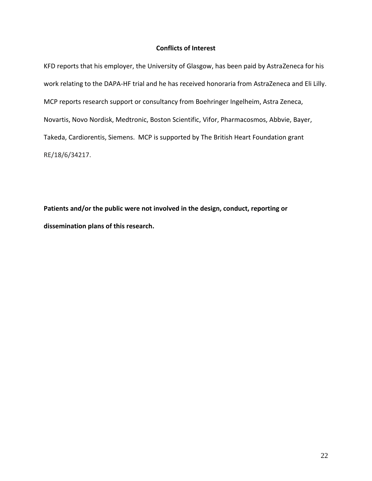### **Conflicts of Interest**

KFD reports that his employer, the University of Glasgow, has been paid by AstraZeneca for his work relating to the DAPA-HF trial and he has received honoraria from AstraZeneca and Eli Lilly. MCP reports research support or consultancy from Boehringer Ingelheim, Astra Zeneca, Novartis, Novo Nordisk, Medtronic, Boston Scientific, Vifor, Pharmacosmos, Abbvie, Bayer, Takeda, Cardiorentis, Siemens. MCP is supported by The British Heart Foundation grant RE/18/6/34217.

**Patients and/or the public were not involved in the design, conduct, reporting or dissemination plans of this research.**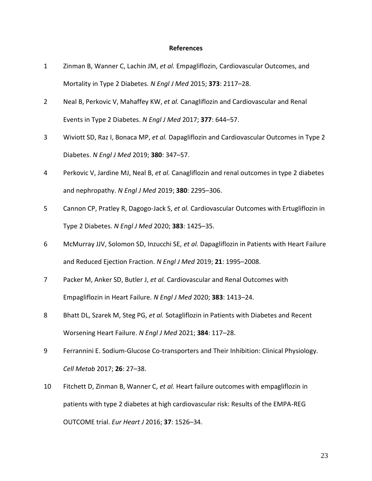#### **References**

- 1 Zinman B, Wanner C, Lachin JM, *et al.* Empagliflozin, Cardiovascular Outcomes, and Mortality in Type 2 Diabetes. *N Engl J Med* 2015; **373**: 2117–28.
- 2 Neal B, Perkovic V, Mahaffey KW, *et al.* Canagliflozin and Cardiovascular and Renal Events in Type 2 Diabetes. *N Engl J Med* 2017; **377**: 644–57.
- 3 Wiviott SD, Raz I, Bonaca MP, *et al.* Dapagliflozin and Cardiovascular Outcomes in Type 2 Diabetes. *N Engl J Med* 2019; **380**: 347–57.
- 4 Perkovic V, Jardine MJ, Neal B, *et al.* Canagliflozin and renal outcomes in type 2 diabetes and nephropathy. *N Engl J Med* 2019; **380**: 2295–306.
- 5 Cannon CP, Pratley R, Dagogo-Jack S, *et al.* Cardiovascular Outcomes with Ertugliflozin in Type 2 Diabetes. *N Engl J Med* 2020; **383**: 1425–35.
- 6 McMurray JJV, Solomon SD, Inzucchi SE, *et al.* Dapagliflozin in Patients with Heart Failure and Reduced Ejection Fraction. *N Engl J Med* 2019; **21**: 1995–2008.
- 7 Packer M, Anker SD, Butler J, *et al.* Cardiovascular and Renal Outcomes with Empagliflozin in Heart Failure. *N Engl J Med* 2020; **383**: 1413–24.
- 8 Bhatt DL, Szarek M, Steg PG, *et al.* Sotagliflozin in Patients with Diabetes and Recent Worsening Heart Failure. *N Engl J Med* 2021; **384**: 117–28.
- 9 Ferrannini E. Sodium-Glucose Co-transporters and Their Inhibition: Clinical Physiology. *Cell Metab* 2017; **26**: 27–38.
- 10 Fitchett D, Zinman B, Wanner C, *et al.* Heart failure outcomes with empagliflozin in patients with type 2 diabetes at high cardiovascular risk: Results of the EMPA-REG OUTCOME trial. *Eur Heart J* 2016; **37**: 1526–34.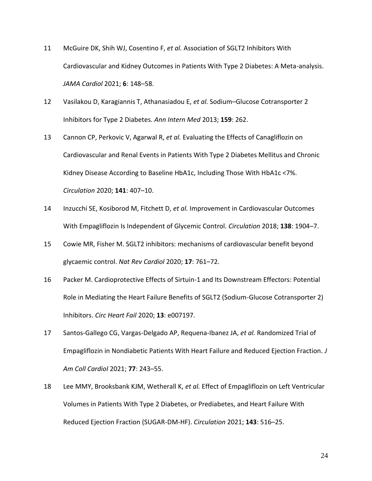- 11 McGuire DK, Shih WJ, Cosentino F, *et al.* Association of SGLT2 Inhibitors With Cardiovascular and Kidney Outcomes in Patients With Type 2 Diabetes: A Meta-analysis. *JAMA Cardiol* 2021; **6**: 148–58.
- 12 Vasilakou D, Karagiannis T, Athanasiadou E, *et al.* Sodium–Glucose Cotransporter 2 Inhibitors for Type 2 Diabetes. *Ann Intern Med* 2013; **159**: 262.
- 13 Cannon CP, Perkovic V, Agarwal R, *et al.* Evaluating the Effects of Canagliflozin on Cardiovascular and Renal Events in Patients With Type 2 Diabetes Mellitus and Chronic Kidney Disease According to Baseline HbA1c, Including Those With HbA1c <7%. *Circulation* 2020; **141**: 407–10.
- 14 Inzucchi SE, Kosiborod M, Fitchett D, *et al.* Improvement in Cardiovascular Outcomes With Empagliflozin Is Independent of Glycemic Control. *Circulation* 2018; **138**: 1904–7.
- 15 Cowie MR, Fisher M. SGLT2 inhibitors: mechanisms of cardiovascular benefit beyond glycaemic control. *Nat Rev Cardiol* 2020; **17**: 761–72.
- 16 Packer M. Cardioprotective Effects of Sirtuin-1 and Its Downstream Effectors: Potential Role in Mediating the Heart Failure Benefits of SGLT2 (Sodium-Glucose Cotransporter 2) Inhibitors. *Circ Heart Fail* 2020; **13**: e007197.
- 17 Santos-Gallego CG, Vargas-Delgado AP, Requena-Ibanez JA, *et al.* Randomized Trial of Empagliflozin in Nondiabetic Patients With Heart Failure and Reduced Ejection Fraction. *J Am Coll Cardiol* 2021; **77**: 243–55.
- 18 Lee MMY, Brooksbank KJM, Wetherall K, *et al.* Effect of Empagliflozin on Left Ventricular Volumes in Patients With Type 2 Diabetes, or Prediabetes, and Heart Failure With Reduced Ejection Fraction (SUGAR-DM-HF). *Circulation* 2021; **143**: 516–25.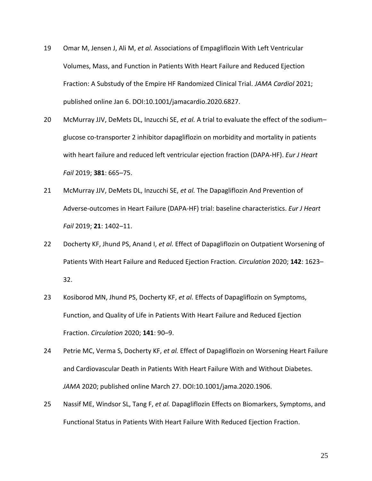- 19 Omar M, Jensen J, Ali M, *et al.* Associations of Empagliflozin With Left Ventricular Volumes, Mass, and Function in Patients With Heart Failure and Reduced Ejection Fraction: A Substudy of the Empire HF Randomized Clinical Trial. *JAMA Cardiol* 2021; published online Jan 6. DOI:10.1001/jamacardio.2020.6827.
- 20 McMurray JJV, DeMets DL, Inzucchi SE, *et al.* A trial to evaluate the effect of the sodium– glucose co-transporter 2 inhibitor dapagliflozin on morbidity and mortality in patients with heart failure and reduced left ventricular ejection fraction (DAPA-HF). *Eur J Heart Fail* 2019; **381**: 665–75.
- 21 McMurray JJV, DeMets DL, Inzucchi SE, *et al.* The Dapagliflozin And Prevention of Adverse-outcomes in Heart Failure (DAPA-HF) trial: baseline characteristics. *Eur J Heart Fail* 2019; **21**: 1402–11.
- 22 Docherty KF, Jhund PS, Anand I, *et al.* Effect of Dapagliflozin on Outpatient Worsening of Patients With Heart Failure and Reduced Ejection Fraction. *Circulation* 2020; **142**: 1623– 32.
- 23 Kosiborod MN, Jhund PS, Docherty KF, *et al.* Effects of Dapagliflozin on Symptoms, Function, and Quality of Life in Patients With Heart Failure and Reduced Ejection Fraction. *Circulation* 2020; **141**: 90–9.
- 24 Petrie MC, Verma S, Docherty KF, *et al.* Effect of Dapagliflozin on Worsening Heart Failure and Cardiovascular Death in Patients With Heart Failure With and Without Diabetes. *JAMA* 2020; published online March 27. DOI:10.1001/jama.2020.1906.
- 25 Nassif ME, Windsor SL, Tang F, *et al.* Dapagliflozin Effects on Biomarkers, Symptoms, and Functional Status in Patients With Heart Failure With Reduced Ejection Fraction.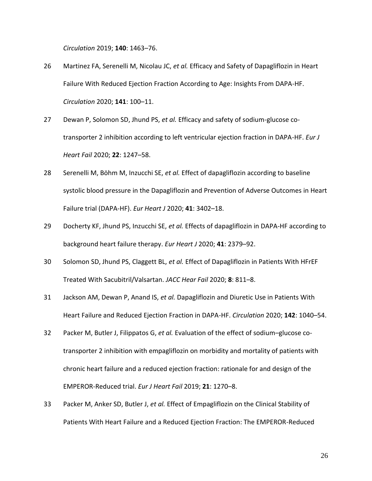*Circulation* 2019; **140**: 1463–76.

- 26 Martinez FA, Serenelli M, Nicolau JC, *et al.* Efficacy and Safety of Dapagliflozin in Heart Failure With Reduced Ejection Fraction According to Age: Insights From DAPA-HF. *Circulation* 2020; **141**: 100–11.
- 27 Dewan P, Solomon SD, Jhund PS, *et al.* Efficacy and safety of sodium-glucose cotransporter 2 inhibition according to left ventricular ejection fraction in DAPA-HF. *Eur J Heart Fail* 2020; **22**: 1247–58.
- 28 Serenelli M, Böhm M, Inzucchi SE, *et al.* Effect of dapagliflozin according to baseline systolic blood pressure in the Dapagliflozin and Prevention of Adverse Outcomes in Heart Failure trial (DAPA-HF). *Eur Heart J* 2020; **41**: 3402–18.
- 29 Docherty KF, Jhund PS, Inzucchi SE, *et al.* Effects of dapagliflozin in DAPA-HF according to background heart failure therapy. *Eur Heart J* 2020; **41**: 2379–92.
- 30 Solomon SD, Jhund PS, Claggett BL, *et al.* Effect of Dapagliflozin in Patients With HFrEF Treated With Sacubitril/Valsartan. *JACC Hear Fail* 2020; **8**: 811–8.
- 31 Jackson AM, Dewan P, Anand IS, *et al.* Dapagliflozin and Diuretic Use in Patients With Heart Failure and Reduced Ejection Fraction in DAPA-HF. *Circulation* 2020; **142**: 1040–54.
- 32 Packer M, Butler J, Filippatos G, *et al.* Evaluation of the effect of sodium–glucose cotransporter 2 inhibition with empagliflozin on morbidity and mortality of patients with chronic heart failure and a reduced ejection fraction: rationale for and design of the EMPEROR-Reduced trial. *Eur J Heart Fail* 2019; **21**: 1270–8.
- 33 Packer M, Anker SD, Butler J, *et al.* Effect of Empagliflozin on the Clinical Stability of Patients With Heart Failure and a Reduced Ejection Fraction: The EMPEROR-Reduced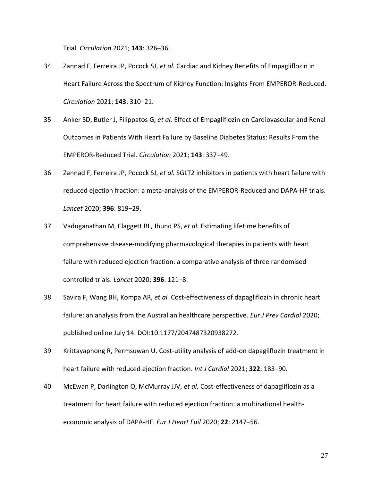Trial. *Circulation* 2021; **143**: 326–36.

- 34 Zannad F, Ferreira JP, Pocock SJ, *et al.* Cardiac and Kidney Benefits of Empagliflozin in Heart Failure Across the Spectrum of Kidney Function: Insights From EMPEROR-Reduced. *Circulation* 2021; **143**: 310–21.
- 35 Anker SD, Butler J, Filippatos G, *et al.* Effect of Empagliflozin on Cardiovascular and Renal Outcomes in Patients With Heart Failure by Baseline Diabetes Status: Results From the EMPEROR-Reduced Trial. *Circulation* 2021; **143**: 337–49.
- 36 Zannad F, Ferreira JP, Pocock SJ, *et al.* SGLT2 inhibitors in patients with heart failure with reduced ejection fraction: a meta-analysis of the EMPEROR-Reduced and DAPA-HF trials. *Lancet* 2020; **396**: 819–29.
- 37 Vaduganathan M, Claggett BL, Jhund PS, *et al.* Estimating lifetime benefits of comprehensive disease-modifying pharmacological therapies in patients with heart failure with reduced ejection fraction: a comparative analysis of three randomised controlled trials. *Lancet* 2020; **396**: 121–8.
- 38 Savira F, Wang BH, Kompa AR, *et al.* Cost-effectiveness of dapagliflozin in chronic heart failure: an analysis from the Australian healthcare perspective. *Eur J Prev Cardiol* 2020; published online July 14. DOI:10.1177/2047487320938272.
- 39 Krittayaphong R, Permsuwan U. Cost-utility analysis of add-on dapagliflozin treatment in heart failure with reduced ejection fraction. *Int J Cardiol* 2021; **322**: 183–90.
- 40 McEwan P, Darlington O, McMurray JJV, *et al.* Cost-effectiveness of dapagliflozin as a treatment for heart failure with reduced ejection fraction: a multinational healtheconomic analysis of DAPA-HF. *Eur J Heart Fail* 2020; **22**: 2147–56.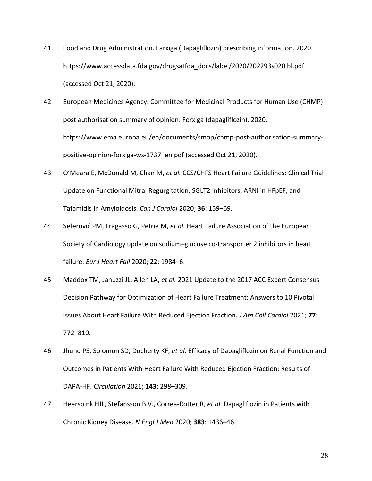- 41 Food and Drug Administration. Farxiga (Dapagliflozin) prescribing information. 2020. https://www.accessdata.fda.gov/drugsatfda\_docs/label/2020/202293s020lbl.pdf (accessed Oct 21, 2020).
- 42 European Medicines Agency. Committee for Medicinal Products for Human Use (CHMP) post authorisation summary of opinion: Forxiga (dapagliflozin). 2020. https://www.ema.europa.eu/en/documents/smop/chmp-post-authorisation-summarypositive-opinion-forxiga-ws-1737\_en.pdf (accessed Oct 21, 2020).
- 43 O'Meara E, McDonald M, Chan M, *et al.* CCS/CHFS Heart Failure Guidelines: Clinical Trial Update on Functional Mitral Regurgitation, SGLT2 Inhibitors, ARNI in HFpEF, and Tafamidis in Amyloidosis. *Can J Cardiol* 2020; **36**: 159–69.
- 44 Seferović PM, Fragasso G, Petrie M, *et al.* Heart Failure Association of the European Society of Cardiology update on sodium–glucose co-transporter 2 inhibitors in heart failure. *Eur J Heart Fail* 2020; **22**: 1984–6.
- 45 Maddox TM, Januzzi JL, Allen LA, *et al.* 2021 Update to the 2017 ACC Expert Consensus Decision Pathway for Optimization of Heart Failure Treatment: Answers to 10 Pivotal Issues About Heart Failure With Reduced Ejection Fraction. *J Am Coll Cardiol* 2021; **77**: 772–810.
- 46 Jhund PS, Solomon SD, Docherty KF, *et al.* Efficacy of Dapagliflozin on Renal Function and Outcomes in Patients With Heart Failure With Reduced Ejection Fraction: Results of DAPA-HF. *Circulation* 2021; **143**: 298–309.
- 47 Heerspink HJL, Stefánsson B V., Correa-Rotter R, *et al.* Dapagliflozin in Patients with Chronic Kidney Disease. *N Engl J Med* 2020; **383**: 1436–46.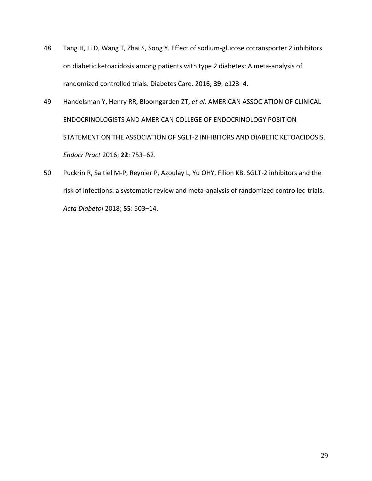- 48 Tang H, Li D, Wang T, Zhai S, Song Y. Effect of sodium-glucose cotransporter 2 inhibitors on diabetic ketoacidosis among patients with type 2 diabetes: A meta-analysis of randomized controlled trials. Diabetes Care. 2016; **39**: e123–4.
- 49 Handelsman Y, Henry RR, Bloomgarden ZT, *et al.* AMERICAN ASSOCIATION OF CLINICAL ENDOCRINOLOGISTS AND AMERICAN COLLEGE OF ENDOCRINOLOGY POSITION STATEMENT ON THE ASSOCIATION OF SGLT-2 INHIBITORS AND DIABETIC KETOACIDOSIS. *Endocr Pract* 2016; **22**: 753–62.
- 50 Puckrin R, Saltiel M-P, Reynier P, Azoulay L, Yu OHY, Filion KB. SGLT-2 inhibitors and the risk of infections: a systematic review and meta-analysis of randomized controlled trials. *Acta Diabetol* 2018; **55**: 503–14.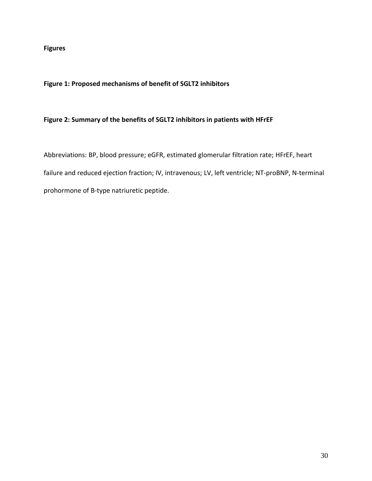**Figures**

### **Figure 1: Proposed mechanisms of benefit of SGLT2 inhibitors**

### **Figure 2: Summary of the benefits of SGLT2 inhibitors in patients with HFrEF**

Abbreviations: BP, blood pressure; eGFR, estimated glomerular filtration rate; HFrEF, heart failure and reduced ejection fraction; IV, intravenous; LV, left ventricle; NT-proBNP, N-terminal prohormone of B-type natriuretic peptide.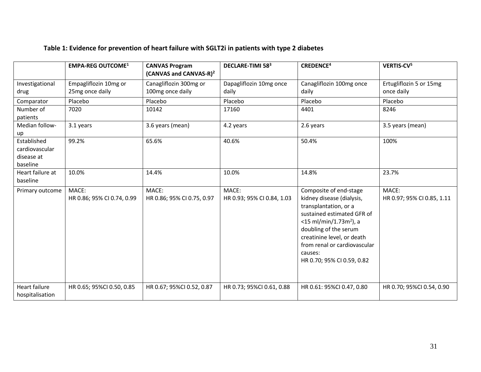|                                                         | <b>EMPA-REG OUTCOME1</b>                 | <b>CANVAS Program</b><br>(CANVAS and CANVAS-R) <sup>2</sup> | <b>DECLARE-TIMI 583</b>             | <b>CREDENCE<sup>4</sup></b>                                                                                                                                                                                                                                                         | VERTIS-CV <sup>5</sup>                |
|---------------------------------------------------------|------------------------------------------|-------------------------------------------------------------|-------------------------------------|-------------------------------------------------------------------------------------------------------------------------------------------------------------------------------------------------------------------------------------------------------------------------------------|---------------------------------------|
| Investigational<br>drug                                 | Empagliflozin 10mg or<br>25mg once daily | Canagliflozin 300mg or<br>100mg once daily                  | Dapagliflozin 10mg once<br>daily    | Canagliflozin 100mg once<br>daily                                                                                                                                                                                                                                                   | Ertugliflozin 5 or 15mg<br>once daily |
| Comparator                                              | Placebo                                  | Placebo                                                     | Placebo                             | Placebo                                                                                                                                                                                                                                                                             | Placebo                               |
| Number of<br>patients                                   | 7020                                     | 10142                                                       | 17160                               | 4401                                                                                                                                                                                                                                                                                | 8246                                  |
| Median follow-<br>up                                    | 3.1 years                                | 3.6 years (mean)                                            | 4.2 years                           | 2.6 years                                                                                                                                                                                                                                                                           | 3.5 years (mean)                      |
| Established<br>cardiovascular<br>disease at<br>baseline | 99.2%                                    | 65.6%                                                       | 40.6%                               | 50.4%                                                                                                                                                                                                                                                                               | 100%                                  |
| Heart failure at<br>baseline                            | 10.0%                                    | 14.4%                                                       | 10.0%                               | 14.8%                                                                                                                                                                                                                                                                               | 23.7%                                 |
| Primary outcome                                         | MACE:<br>HR 0.86; 95% CI 0.74, 0.99      | MACE:<br>HR 0.86; 95% CI 0.75, 0.97                         | MACE:<br>HR 0.93; 95% CI 0.84, 1.03 | Composite of end-stage<br>kidney disease (dialysis,<br>transplantation, or a<br>sustained estimated GFR of<br>$<$ 15 ml/min/1.73m <sup>2</sup> ), a<br>doubling of the serum<br>creatinine level, or death<br>from renal or cardiovascular<br>causes:<br>HR 0.70; 95% CI 0.59, 0.82 | MACE:<br>HR 0.97; 95% CI 0.85, 1.11   |
| Heart failure<br>hospitalisation                        | HR 0.65; 95%CI 0.50, 0.85                | HR 0.67; 95%CI 0.52, 0.87                                   | HR 0.73; 95%CI 0.61, 0.88           | HR 0.61: 95%CI 0.47, 0.80                                                                                                                                                                                                                                                           | HR 0.70; 95%CI 0.54, 0.90             |

# **Table 1: Evidence for prevention of heart failure with SGLT2i in patients with type 2 diabetes**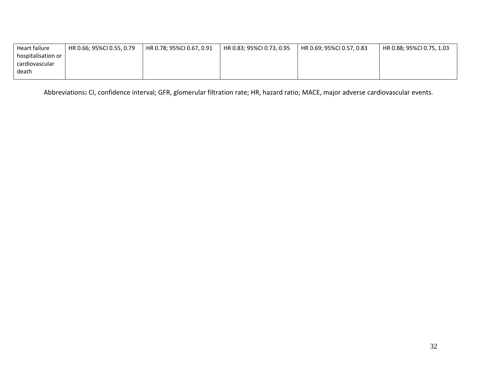| Heart failure      | HR 0.66; 95%Cl 0.55, 0.79 | HR 0.78; 95%CI 0.67, 0.91 | HR 0.83; 95%Cl 0.73, 0.95 | HR 0.69: 95%CI 0.57, 0.83 | HR 0.88; 95%CI 0.75, 1.03 |
|--------------------|---------------------------|---------------------------|---------------------------|---------------------------|---------------------------|
| hospitalisation or |                           |                           |                           |                           |                           |
| cardiovascular     |                           |                           |                           |                           |                           |
| death              |                           |                           |                           |                           |                           |
|                    |                           |                           |                           |                           |                           |

Abbreviations**:** CI, confidence interval; GFR, glomerular filtration rate; HR, hazard ratio; MACE, major adverse cardiovascular events.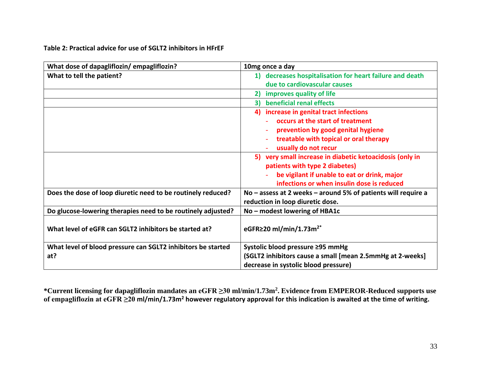| Table 2: Practical advice for use of SGLT2 inhibitors in HFrEF |  |  |
|----------------------------------------------------------------|--|--|
|----------------------------------------------------------------|--|--|

| What dose of dapagliflozin/empagliflozin?                    | 10mg once a day                                               |  |  |
|--------------------------------------------------------------|---------------------------------------------------------------|--|--|
| What to tell the patient?                                    | 1) decreases hospitalisation for heart failure and death      |  |  |
|                                                              | due to cardiovascular causes                                  |  |  |
|                                                              | improves quality of life<br>$\mathbf{2}$                      |  |  |
|                                                              | beneficial renal effects<br>3)                                |  |  |
|                                                              | 4) increase in genital tract infections                       |  |  |
|                                                              | occurs at the start of treatment                              |  |  |
|                                                              | prevention by good genital hygiene                            |  |  |
|                                                              | treatable with topical or oral therapy                        |  |  |
|                                                              | usually do not recur                                          |  |  |
|                                                              | 5) very small increase in diabetic ketoacidosis (only in      |  |  |
|                                                              | patients with type 2 diabetes)                                |  |  |
|                                                              | be vigilant if unable to eat or drink, major                  |  |  |
|                                                              | infections or when insulin dose is reduced                    |  |  |
| Does the dose of loop diuretic need to be routinely reduced? | No – assess at 2 weeks – around 5% of patients will require a |  |  |
|                                                              | reduction in loop diuretic dose.                              |  |  |
| Do glucose-lowering therapies need to be routinely adjusted? | No - modest lowering of HBA1c                                 |  |  |
|                                                              |                                                               |  |  |
| What level of eGFR can SGLT2 inhibitors be started at?       | eGFR $\geq$ 20 ml/min/1.73m <sup>2*</sup>                     |  |  |
| What level of blood pressure can SGLT2 inhibitors be started | Systolic blood pressure ≥95 mmHg                              |  |  |
| at?                                                          | (SGLT2 inhibitors cause a small [mean 2.5mmHg at 2-weeks]     |  |  |
|                                                              | decrease in systolic blood pressure)                          |  |  |

**\*Current licensing for dapagliflozin mandates an eGFR ≥30 ml/min/1.73m<sup>2</sup> . Evidence from EMPEROR-Reduced supports use of empagliflozin at eGFR ≥20 ml/min/1.73m<sup>2</sup> however regulatory approval for this indication is awaited at the time of writing.**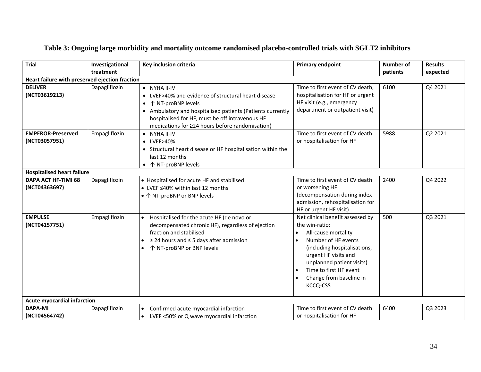| <b>Trial</b>                                   | Investigational<br>treatment | Key inclusion criteria                                                                                                                                                                                                                                          | <b>Primary endpoint</b>                                                                                                                                                                                                                                                                                    | Number of<br>patients | <b>Results</b><br>expected |
|------------------------------------------------|------------------------------|-----------------------------------------------------------------------------------------------------------------------------------------------------------------------------------------------------------------------------------------------------------------|------------------------------------------------------------------------------------------------------------------------------------------------------------------------------------------------------------------------------------------------------------------------------------------------------------|-----------------------|----------------------------|
| Heart failure with preserved ejection fraction |                              |                                                                                                                                                                                                                                                                 |                                                                                                                                                                                                                                                                                                            |                       |                            |
| <b>DELIVER</b><br>(NCT03619213)                | Dapagliflozin                | • NYHA II-IV<br>• LVEF>40% and evidence of structural heart disease<br>• ↑ NT-proBNP levels<br>• Ambulatory and hospitalised patients (Patients currently<br>hospitalised for HF, must be off intravenous HF<br>medications for ≥24 hours before randomisation) | Time to first event of CV death,<br>hospitalisation for HF or urgent<br>HF visit (e.g., emergency<br>department or outpatient visit)                                                                                                                                                                       | 6100                  | Q4 2021                    |
| <b>EMPEROR-Preserved</b><br>(NCT03057951)      | Empagliflozin                | • NYHA II-IV<br>• LVEF>40%<br>• Structural heart disease or HF hospitalisation within the<br>last 12 months<br>↑ NT-proBNP levels                                                                                                                               | Time to first event of CV death<br>or hospitalisation for HF                                                                                                                                                                                                                                               | 5988                  | Q2 2021                    |
| <b>Hospitalised heart failure</b>              |                              |                                                                                                                                                                                                                                                                 |                                                                                                                                                                                                                                                                                                            |                       |                            |
| DAPA ACT HF-TIMI 68<br>(NCT04363697)           | Dapagliflozin                | • Hospitalised for acute HF and stabilised<br>● LVEF ≤40% within last 12 months<br>• ↑ NT-proBNP or BNP levels                                                                                                                                                  | Time to first event of CV death<br>or worsening HF<br>(decompensation during index<br>admission, rehospitalisation for<br>HF or urgent HF visit)                                                                                                                                                           | 2400                  | Q4 2022                    |
| <b>EMPULSE</b><br>(NCT04157751)                | Empagliflozin                | Hospitalised for the acute HF (de novo or<br>decompensated chronic HF), regardless of ejection<br>fraction and stabilised<br>$\geq$ 24 hours and $\leq$ 5 days after admission<br>↑ NT-proBNP or BNP levels                                                     | Net clinical benefit assessed by<br>the win-ratio:<br>All-cause mortality<br>$\bullet$<br>Number of HF events<br>$\bullet$<br>(including hospitalisations,<br>urgent HF visits and<br>unplanned patient visits)<br>Time to first HF event<br>$\bullet$<br>Change from baseline in<br>$\bullet$<br>KCCQ-CSS | 500                   | Q3 2021                    |
| <b>Acute myocardial infarction</b>             |                              |                                                                                                                                                                                                                                                                 |                                                                                                                                                                                                                                                                                                            |                       |                            |
| <b>DAPA-MI</b><br>(NCT04564742)                | Dapagliflozin                | Confirmed acute myocardial infarction<br>$\bullet$<br>LVEF <50% or Q wave myocardial infarction<br>$\bullet$                                                                                                                                                    | Time to first event of CV death<br>or hospitalisation for HF                                                                                                                                                                                                                                               | 6400                  | Q3 2023                    |

# **Table 3: Ongoing large morbidity and mortality outcome randomised placebo-controlled trials with SGLT2 inhibitors**